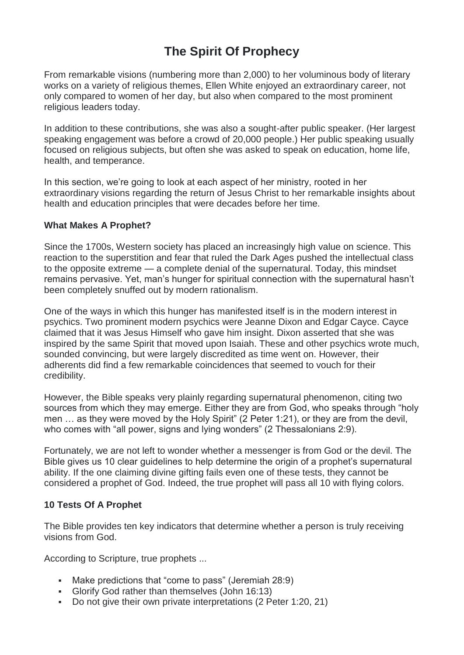# **The Spirit Of Prophecy**

From remarkable visions (numbering more than 2,000) to her voluminous body of literary works on a variety of religious themes, Ellen White enjoyed an extraordinary career, not only compared to women of her day, but also when compared to the most prominent religious leaders today.

In addition to these contributions, she was also a sought-after public speaker. (Her largest speaking engagement was before a crowd of 20,000 people.) Her public speaking usually focused on religious subjects, but often she was asked to speak on education, home life, health, and temperance.

In this section, we're going to look at each aspect of her ministry, rooted in her extraordinary visions regarding the return of Jesus Christ to her remarkable insights about health and education principles that were decades before her time.

#### **What Makes A Prophet?**

Since the 1700s, Western society has placed an increasingly high value on science. This reaction to the superstition and fear that ruled the Dark Ages pushed the intellectual class to the opposite extreme — a complete denial of the supernatural. Today, this mindset remains pervasive. Yet, man's hunger for spiritual connection with the supernatural hasn't been completely snuffed out by modern rationalism.

One of the ways in which this hunger has manifested itself is in the modern interest in psychics. Two prominent modern psychics were Jeanne Dixon and Edgar Cayce. Cayce claimed that it was Jesus Himself who gave him insight. Dixon asserted that she was inspired by the same Spirit that moved upon Isaiah. These and other psychics wrote much, sounded convincing, but were largely discredited as time went on. However, their adherents did find a few remarkable coincidences that seemed to vouch for their credibility.

However, the Bible speaks very plainly regarding supernatural phenomenon, citing two sources from which they may emerge. Either they are from God, who speaks through "holy men ... as they were moved by the Holy Spirit" (2 Peter 1:21), or they are from the devil, who comes with "all power, signs and lying wonders" (2 Thessalonians 2:9).

Fortunately, we are not left to wonder whether a messenger is from God or the devil. The Bible gives us 10 clear guidelines to help determine the origin of a prophet's supernatural ability. If the one claiming divine gifting fails even one of these tests, they cannot be considered a prophet of God. Indeed, the true prophet will pass all 10 with flying colors.

# **10 Tests Of A Prophet**

The Bible provides ten key indicators that determine whether a person is truly receiving visions from God.

According to Scripture, true prophets ...

- Make predictions that "come to pass" (Jeremiah 28:9)
- Glorify God rather than themselves (John 16:13)
- Do not give their own private interpretations (2 Peter 1:20, 21)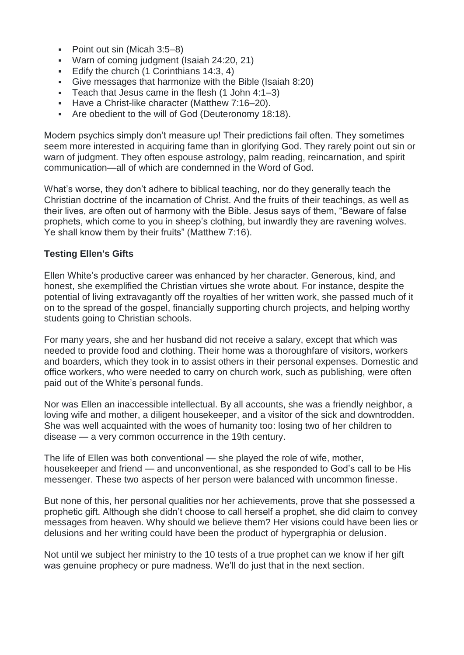- Point out sin (Micah 3:5–8)
- Warn of coming judgment (Isaiah 24:20, 21)
- Edify the church (1 Corinthians 14:3, 4)
- Give messages that harmonize with the Bible (Isaiah 8:20)
- Teach that Jesus came in the flesh  $(1$  John  $4:1-3)$
- Have a Christ-like character (Matthew 7:16–20).
- Are obedient to the will of God (Deuteronomy 18:18).

Modern psychics simply don't measure up! Their predictions fail often. They sometimes seem more interested in acquiring fame than in glorifying God. They rarely point out sin or warn of judgment. They often espouse astrology, palm reading, reincarnation, and spirit communication—all of which are condemned in the Word of God.

What's worse, they don't adhere to biblical teaching, nor do they generally teach the Christian doctrine of the incarnation of Christ. And the fruits of their teachings, as well as their lives, are often out of harmony with the Bible. Jesus says of them, "Beware of false prophets, which come to you in sheep's clothing, but inwardly they are ravening wolves. Ye shall know them by their fruits" (Matthew 7:16).

#### **Testing Ellen's Gifts**

Ellen White's productive career was enhanced by her character. Generous, kind, and honest, she exemplified the Christian virtues she wrote about. For instance, despite the potential of living extravagantly off the royalties of her written work, she passed much of it on to the spread of the gospel, financially supporting church projects, and helping worthy students going to Christian schools.

For many years, she and her husband did not receive a salary, except that which was needed to provide food and clothing. Their home was a thoroughfare of visitors, workers and boarders, which they took in to assist others in their personal expenses. Domestic and office workers, who were needed to carry on church work, such as publishing, were often paid out of the White's personal funds.

Nor was Ellen an inaccessible intellectual. By all accounts, she was a friendly neighbor, a loving wife and mother, a diligent housekeeper, and a visitor of the sick and downtrodden. She was well acquainted with the woes of humanity too: losing two of her children to disease — a very common occurrence in the 19th century.

The life of Ellen was both conventional — she played the role of wife, mother, housekeeper and friend — and unconventional, as she responded to God's call to be His messenger. These two aspects of her person were balanced with uncommon finesse.

But none of this, her personal qualities nor her achievements, prove that she possessed a prophetic gift. Although she didn't choose to call herself a prophet, she did claim to convey messages from heaven. Why should we believe them? Her visions could have been lies or delusions and her writing could have been the product of hypergraphia or delusion.

Not until we subject her ministry to the 10 tests of a true prophet can we know if her gift was genuine prophecy or pure madness. We'll do just that in the next section.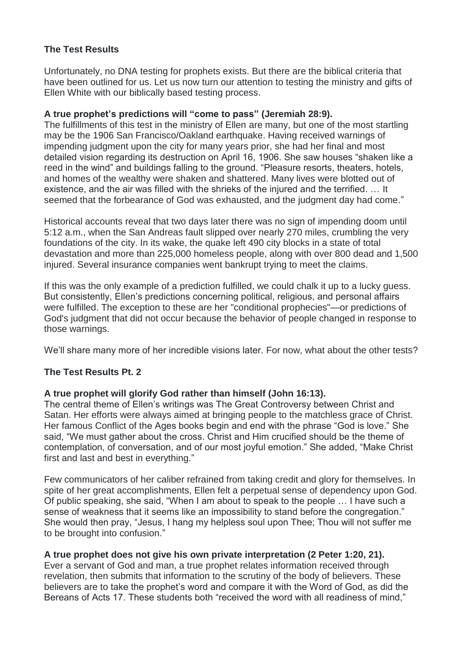# **The Test Results**

Unfortunately, no DNA testing for prophets exists. But there are the biblical criteria that have been outlined for us. Let us now turn our attention to testing the ministry and gifts of Ellen White with our biblically based testing process.

## **A true prophet's predictions will "come to pass" (Jeremiah 28:9).**

The fulfillments of this test in the ministry of Ellen are many, but one of the most startling may be the 1906 San Francisco/Oakland earthquake. Having received warnings of impending judgment upon the city for many years prior, she had her final and most detailed vision regarding its destruction on April 16, 1906. She saw houses "shaken like a reed in the wind" and buildings falling to the ground. "Pleasure resorts, theaters, hotels, and homes of the wealthy were shaken and shattered. Many lives were blotted out of existence, and the air was filled with the shrieks of the injured and the terrified. … It seemed that the forbearance of God was exhausted, and the judgment day had come."

Historical accounts reveal that two days later there was no sign of impending doom until 5:12 a.m., when the San Andreas fault slipped over nearly 270 miles, crumbling the very foundations of the city. In its wake, the quake left 490 city blocks in a state of total devastation and more than 225,000 homeless people, along with over 800 dead and 1,500 injured. Several insurance companies went bankrupt trying to meet the claims.

If this was the only example of a prediction fulfilled, we could chalk it up to a lucky guess. But consistently, Ellen's predictions concerning political, religious, and personal affairs were fulfilled. The exception to these are her "conditional prophecies"—or predictions of God's judgment that did not occur because the behavior of people changed in response to those warnings.

We'll share many more of her incredible visions later. For now, what about the other tests?

# **The Test Results Pt. 2**

# **A true prophet will glorify God rather than himself (John 16:13).**

The central theme of Ellen's writings was The Great Controversy between Christ and Satan. Her efforts were always aimed at bringing people to the matchless grace of Christ. Her famous Conflict of the Ages books begin and end with the phrase "God is love." She said, "We must gather about the cross. Christ and Him crucified should be the theme of contemplation, of conversation, and of our most joyful emotion." She added, "Make Christ first and last and best in everything."

Few communicators of her caliber refrained from taking credit and glory for themselves. In spite of her great accomplishments, Ellen felt a perpetual sense of dependency upon God. Of public speaking, she said, "When I am about to speak to the people … I have such a sense of weakness that it seems like an impossibility to stand before the congregation." She would then pray, "Jesus, I hang my helpless soul upon Thee; Thou will not suffer me to be brought into confusion."

# **A true prophet does not give his own private interpretation (2 Peter 1:20, 21).**

Ever a servant of God and man, a true prophet relates information received through revelation, then submits that information to the scrutiny of the body of believers. These believers are to take the prophet's word and compare it with the Word of God, as did the Bereans of Acts 17. These students both "received the word with all readiness of mind,"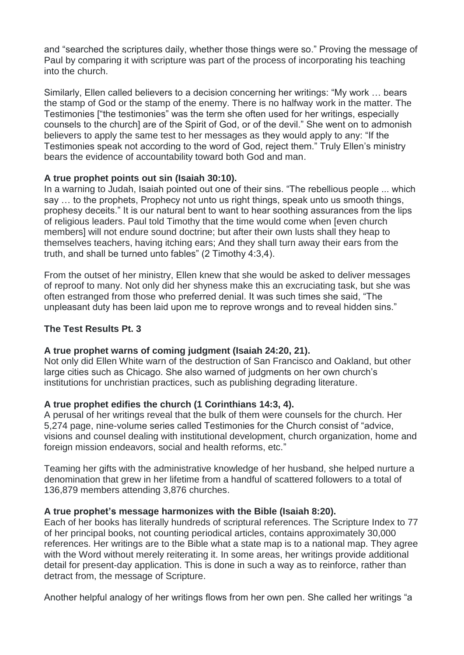and "searched the scriptures daily, whether those things were so." Proving the message of Paul by comparing it with scripture was part of the process of incorporating his teaching into the church.

Similarly, Ellen called believers to a decision concerning her writings: "My work … bears the stamp of God or the stamp of the enemy. There is no halfway work in the matter. The Testimonies ["the testimonies" was the term she often used for her writings, especially counsels to the church] are of the Spirit of God, or of the devil." She went on to admonish believers to apply the same test to her messages as they would apply to any: "If the Testimonies speak not according to the word of God, reject them." Truly Ellen's ministry bears the evidence of accountability toward both God and man.

#### **A true prophet points out sin (Isaiah 30:10).**

In a warning to Judah, Isaiah pointed out one of their sins. "The rebellious people ... which say … to the prophets, Prophecy not unto us right things, speak unto us smooth things, prophesy deceits." It is our natural bent to want to hear soothing assurances from the lips of religious leaders. Paul told Timothy that the time would come when [even church members] will not endure sound doctrine; but after their own lusts shall they heap to themselves teachers, having itching ears; And they shall turn away their ears from the truth, and shall be turned unto fables" (2 Timothy 4:3,4).

From the outset of her ministry, Ellen knew that she would be asked to deliver messages of reproof to many. Not only did her shyness make this an excruciating task, but she was often estranged from those who preferred denial. It was such times she said, "The unpleasant duty has been laid upon me to reprove wrongs and to reveal hidden sins."

## **The Test Results Pt. 3**

#### **A true prophet warns of coming judgment (Isaiah 24:20, 21).**

Not only did Ellen White warn of the destruction of San Francisco and Oakland, but other large cities such as Chicago. She also warned of judgments on her own church's institutions for unchristian practices, such as publishing degrading literature.

#### **A true prophet edifies the church (1 Corinthians 14:3, 4).**

A perusal of her writings reveal that the bulk of them were counsels for the church. Her 5,274 page, nine-volume series called Testimonies for the Church consist of "advice, visions and counsel dealing with institutional development, church organization, home and foreign mission endeavors, social and health reforms, etc."

Teaming her gifts with the administrative knowledge of her husband, she helped nurture a denomination that grew in her lifetime from a handful of scattered followers to a total of 136,879 members attending 3,876 churches.

# **A true prophet's message harmonizes with the Bible (Isaiah 8:20).**

Each of her books has literally hundreds of scriptural references. The Scripture Index to 77 of her principal books, not counting periodical articles, contains approximately 30,000 references. Her writings are to the Bible what a state map is to a national map. They agree with the Word without merely reiterating it. In some areas, her writings provide additional detail for present-day application. This is done in such a way as to reinforce, rather than detract from, the message of Scripture.

Another helpful analogy of her writings flows from her own pen. She called her writings "a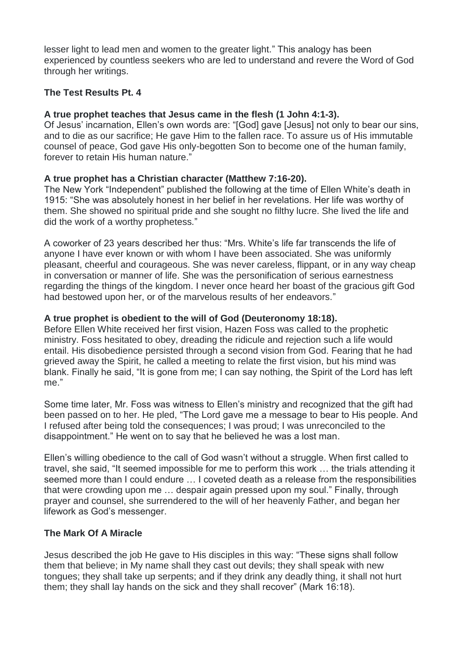lesser light to lead men and women to the greater light." This analogy has been experienced by countless seekers who are led to understand and revere the Word of God through her writings.

## **The Test Results Pt. 4**

#### **A true prophet teaches that Jesus came in the flesh (1 John 4:1-3).**

Of Jesus' incarnation, Ellen's own words are: "[God] gave [Jesus] not only to bear our sins, and to die as our sacrifice; He gave Him to the fallen race. To assure us of His immutable counsel of peace, God gave His only-begotten Son to become one of the human family, forever to retain His human nature."

#### **A true prophet has a Christian character (Matthew 7:16-20).**

The New York "Independent" published the following at the time of Ellen White's death in 1915: "She was absolutely honest in her belief in her revelations. Her life was worthy of them. She showed no spiritual pride and she sought no filthy lucre. She lived the life and did the work of a worthy prophetess."

A coworker of 23 years described her thus: "Mrs. White's life far transcends the life of anyone I have ever known or with whom I have been associated. She was uniformly pleasant, cheerful and courageous. She was never careless, flippant, or in any way cheap in conversation or manner of life. She was the personification of serious earnestness regarding the things of the kingdom. I never once heard her boast of the gracious gift God had bestowed upon her, or of the marvelous results of her endeavors."

#### **A true prophet is obedient to the will of God (Deuteronomy 18:18).**

Before Ellen White received her first vision, Hazen Foss was called to the prophetic ministry. Foss hesitated to obey, dreading the ridicule and rejection such a life would entail. His disobedience persisted through a second vision from God. Fearing that he had grieved away the Spirit, he called a meeting to relate the first vision, but his mind was blank. Finally he said, "It is gone from me; I can say nothing, the Spirit of the Lord has left me."

Some time later, Mr. Foss was witness to Ellen's ministry and recognized that the gift had been passed on to her. He pled, "The Lord gave me a message to bear to His people. And I refused after being told the consequences; I was proud; I was unreconciled to the disappointment." He went on to say that he believed he was a lost man.

Ellen's willing obedience to the call of God wasn't without a struggle. When first called to travel, she said, "It seemed impossible for me to perform this work … the trials attending it seemed more than I could endure … I coveted death as a release from the responsibilities that were crowding upon me … despair again pressed upon my soul." Finally, through prayer and counsel, she surrendered to the will of her heavenly Father, and began her lifework as God's messenger.

# **The Mark Of A Miracle**

Jesus described the job He gave to His disciples in this way: "These signs shall follow them that believe; in My name shall they cast out devils; they shall speak with new tongues; they shall take up serpents; and if they drink any deadly thing, it shall not hurt them; they shall lay hands on the sick and they shall recover" (Mark 16:18).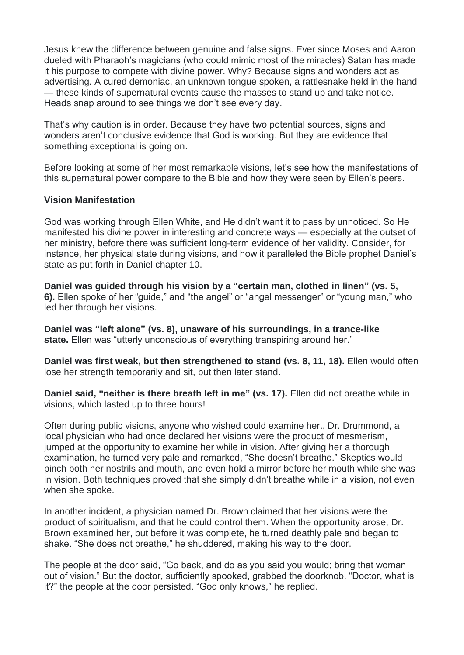Jesus knew the difference between genuine and false signs. Ever since Moses and Aaron dueled with Pharaoh's magicians (who could mimic most of the miracles) Satan has made it his purpose to compete with divine power. Why? Because signs and wonders act as advertising. A cured demoniac, an unknown tongue spoken, a rattlesnake held in the hand — these kinds of supernatural events cause the masses to stand up and take notice. Heads snap around to see things we don't see every day.

That's why caution is in order. Because they have two potential sources, signs and wonders aren't conclusive evidence that God is working. But they are evidence that something exceptional is going on.

Before looking at some of her most remarkable visions, let's see how the manifestations of this supernatural power compare to the Bible and how they were seen by Ellen's peers.

#### **Vision Manifestation**

God was working through Ellen White, and He didn't want it to pass by unnoticed. So He manifested his divine power in interesting and concrete ways — especially at the outset of her ministry, before there was sufficient long-term evidence of her validity. Consider, for instance, her physical state during visions, and how it paralleled the Bible prophet Daniel's state as put forth in Daniel chapter 10.

**Daniel was guided through his vision by a "certain man, clothed in linen" (vs. 5, 6).** Ellen spoke of her "guide," and "the angel" or "angel messenger" or "young man," who led her through her visions.

**Daniel was "left alone" (vs. 8), unaware of his surroundings, in a trance-like state.** Ellen was "utterly unconscious of everything transpiring around her."

**Daniel was first weak, but then strengthened to stand (vs. 8, 11, 18).** Ellen would often lose her strength temporarily and sit, but then later stand.

**Daniel said, "neither is there breath left in me" (vs. 17).** Ellen did not breathe while in visions, which lasted up to three hours!

Often during public visions, anyone who wished could examine her., Dr. Drummond, a local physician who had once declared her visions were the product of mesmerism, jumped at the opportunity to examine her while in vision. After giving her a thorough examination, he turned very pale and remarked, "She doesn't breathe." Skeptics would pinch both her nostrils and mouth, and even hold a mirror before her mouth while she was in vision. Both techniques proved that she simply didn't breathe while in a vision, not even when she spoke.

In another incident, a physician named Dr. Brown claimed that her visions were the product of spiritualism, and that he could control them. When the opportunity arose, Dr. Brown examined her, but before it was complete, he turned deathly pale and began to shake. "She does not breathe," he shuddered, making his way to the door.

The people at the door said, "Go back, and do as you said you would; bring that woman out of vision." But the doctor, sufficiently spooked, grabbed the doorknob. "Doctor, what is it?" the people at the door persisted. "God only knows," he replied.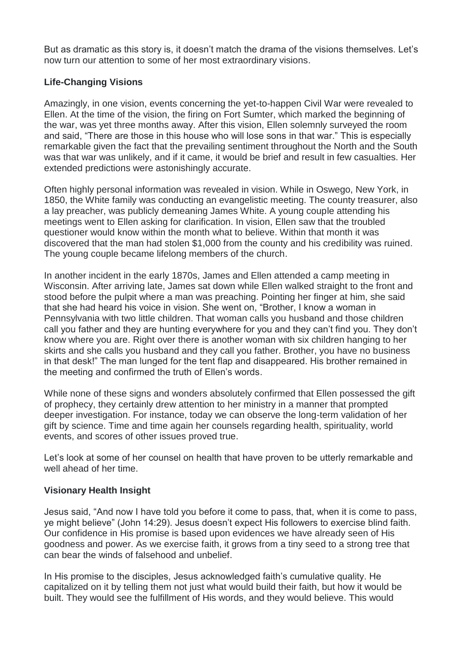But as dramatic as this story is, it doesn't match the drama of the visions themselves. Let's now turn our attention to some of her most extraordinary visions.

# **Life-Changing Visions**

Amazingly, in one vision, events concerning the yet-to-happen Civil War were revealed to Ellen. At the time of the vision, the firing on Fort Sumter, which marked the beginning of the war, was yet three months away. After this vision, Ellen solemnly surveyed the room and said, "There are those in this house who will lose sons in that war." This is especially remarkable given the fact that the prevailing sentiment throughout the North and the South was that war was unlikely, and if it came, it would be brief and result in few casualties. Her extended predictions were astonishingly accurate.

Often highly personal information was revealed in vision. While in Oswego, New York, in 1850, the White family was conducting an evangelistic meeting. The county treasurer, also a lay preacher, was publicly demeaning James White. A young couple attending his meetings went to Ellen asking for clarification. In vision, Ellen saw that the troubled questioner would know within the month what to believe. Within that month it was discovered that the man had stolen \$1,000 from the county and his credibility was ruined. The young couple became lifelong members of the church.

In another incident in the early 1870s, James and Ellen attended a camp meeting in Wisconsin. After arriving late, James sat down while Ellen walked straight to the front and stood before the pulpit where a man was preaching. Pointing her finger at him, she said that she had heard his voice in vision. She went on, "Brother, I know a woman in Pennsylvania with two little children. That woman calls you husband and those children call you father and they are hunting everywhere for you and they can't find you. They don't know where you are. Right over there is another woman with six children hanging to her skirts and she calls you husband and they call you father. Brother, you have no business in that desk!" The man lunged for the tent flap and disappeared. His brother remained in the meeting and confirmed the truth of Ellen's words.

While none of these signs and wonders absolutely confirmed that Ellen possessed the gift of prophecy, they certainly drew attention to her ministry in a manner that prompted deeper investigation. For instance, today we can observe the long-term validation of her gift by science. Time and time again her counsels regarding health, spirituality, world events, and scores of other issues proved true.

Let's look at some of her counsel on health that have proven to be utterly remarkable and well ahead of her time.

# **Visionary Health Insight**

Jesus said, "And now I have told you before it come to pass, that, when it is come to pass, ye might believe" (John 14:29). Jesus doesn't expect His followers to exercise blind faith. Our confidence in His promise is based upon evidences we have already seen of His goodness and power. As we exercise faith, it grows from a tiny seed to a strong tree that can bear the winds of falsehood and unbelief.

In His promise to the disciples, Jesus acknowledged faith's cumulative quality. He capitalized on it by telling them not just what would build their faith, but how it would be built. They would see the fulfillment of His words, and they would believe. This would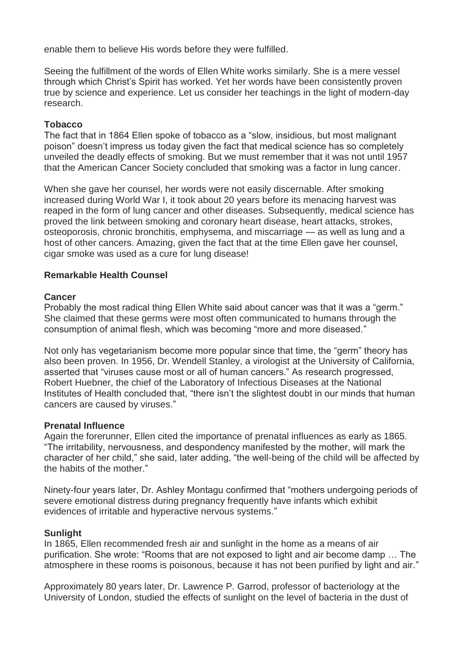enable them to believe His words before they were fulfilled.

Seeing the fulfillment of the words of Ellen White works similarly. She is a mere vessel through which Christ's Spirit has worked. Yet her words have been consistently proven true by science and experience. Let us consider her teachings in the light of modern-day research.

#### **Tobacco**

The fact that in 1864 Ellen spoke of tobacco as a "slow, insidious, but most malignant poison" doesn't impress us today given the fact that medical science has so completely unveiled the deadly effects of smoking. But we must remember that it was not until 1957 that the American Cancer Society concluded that smoking was a factor in lung cancer.

When she gave her counsel, her words were not easily discernable. After smoking increased during World War I, it took about 20 years before its menacing harvest was reaped in the form of lung cancer and other diseases. Subsequently, medical science has proved the link between smoking and coronary heart disease, heart attacks, strokes, osteoporosis, chronic bronchitis, emphysema, and miscarriage — as well as lung and a host of other cancers. Amazing, given the fact that at the time Ellen gave her counsel, cigar smoke was used as a cure for lung disease!

#### **Remarkable Health Counsel**

#### **Cancer**

Probably the most radical thing Ellen White said about cancer was that it was a "germ." She claimed that these germs were most often communicated to humans through the consumption of animal flesh, which was becoming "more and more diseased."

Not only has vegetarianism become more popular since that time, the "germ" theory has also been proven. In 1956, Dr. Wendell Stanley, a virologist at the University of California, asserted that "viruses cause most or all of human cancers." As research progressed, Robert Huebner, the chief of the Laboratory of Infectious Diseases at the National Institutes of Health concluded that, "there isn't the slightest doubt in our minds that human cancers are caused by viruses."

#### **Prenatal Influence**

Again the forerunner, Ellen cited the importance of prenatal influences as early as 1865. "The irritability, nervousness, and despondency manifested by the mother, will mark the character of her child," she said, later adding, "the well-being of the child will be affected by the habits of the mother."

Ninety-four years later, Dr. Ashley Montagu confirmed that "mothers undergoing periods of severe emotional distress during pregnancy frequently have infants which exhibit evidences of irritable and hyperactive nervous systems."

#### **Sunlight**

In 1865, Ellen recommended fresh air and sunlight in the home as a means of air purification. She wrote: "Rooms that are not exposed to light and air become damp … The atmosphere in these rooms is poisonous, because it has not been purified by light and air."

Approximately 80 years later, Dr. Lawrence P. Garrod, professor of bacteriology at the University of London, studied the effects of sunlight on the level of bacteria in the dust of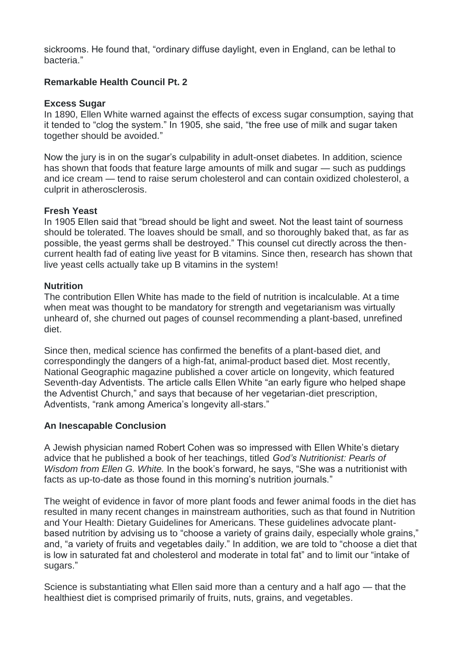sickrooms. He found that, "ordinary diffuse daylight, even in England, can be lethal to bacteria."

# **Remarkable Health Council Pt. 2**

#### **Excess Sugar**

In 1890, Ellen White warned against the effects of excess sugar consumption, saying that it tended to "clog the system." In 1905, she said, "the free use of milk and sugar taken together should be avoided."

Now the jury is in on the sugar's culpability in adult-onset diabetes. In addition, science has shown that foods that feature large amounts of milk and sugar — such as puddings and ice cream — tend to raise serum cholesterol and can contain oxidized cholesterol, a culprit in atherosclerosis.

#### **Fresh Yeast**

In 1905 Ellen said that "bread should be light and sweet. Not the least taint of sourness should be tolerated. The loaves should be small, and so thoroughly baked that, as far as possible, the yeast germs shall be destroyed." This counsel cut directly across the thencurrent health fad of eating live yeast for B vitamins. Since then, research has shown that live yeast cells actually take up B vitamins in the system!

#### **Nutrition**

The contribution Ellen White has made to the field of nutrition is incalculable. At a time when meat was thought to be mandatory for strength and vegetarianism was virtually unheard of, she churned out pages of counsel recommending a plant-based, unrefined diet.

Since then, medical science has confirmed the benefits of a plant-based diet, and correspondingly the dangers of a high-fat, animal-product based diet. Most recently, National Geographic magazine published a cover article on longevity, which featured Seventh-day Adventists. The article calls Ellen White "an early figure who helped shape the Adventist Church," and says that because of her vegetarian-diet prescription, Adventists, "rank among America's longevity all-stars."

#### **An Inescapable Conclusion**

A Jewish physician named Robert Cohen was so impressed with Ellen White's dietary advice that he published a book of her teachings, titled *God's Nutritionist: Pearls of Wisdom from Ellen G. White.* In the book's forward, he says, "She was a nutritionist with facts as up-to-date as those found in this morning's nutrition journals."

The weight of evidence in favor of more plant foods and fewer animal foods in the diet has resulted in many recent changes in mainstream authorities, such as that found in Nutrition and Your Health: Dietary Guidelines for Americans. These guidelines advocate plantbased nutrition by advising us to "choose a variety of grains daily, especially whole grains," and, "a variety of fruits and vegetables daily." In addition, we are told to "choose a diet that is low in saturated fat and cholesterol and moderate in total fat" and to limit our "intake of sugars."

Science is substantiating what Ellen said more than a century and a half ago — that the healthiest diet is comprised primarily of fruits, nuts, grains, and vegetables.